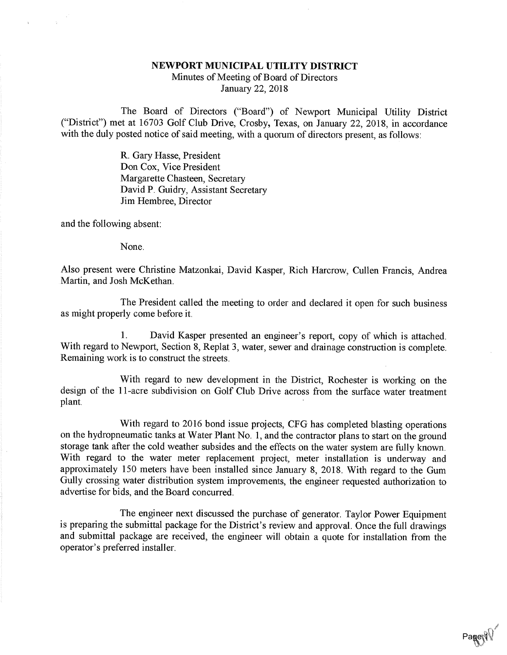## NEWPORT MUNICIPAL UTILITY DISTRICT

Minutes of Meeting of Board of DirectorsJanuary 22, 2018

The Board of Directors ("Board") of Newport Municipal Utility District ("District") met at 16703 Golf Club Drive, Crosby, Texas, on January 22, 2018, in accordancewith the duly posted notice of said meeting, with a quorum of directors present, as follows:

> R. Gary Hasse, President Don Cox, Vice President Margarette Chasteen, Secretary David P. Guidry, Assistant SecretaryJim Hembree, Director

and the following absent:

None.

Also present were Christine Matzonkai, David Kasper, Rich Harcrow, Cullen Francis, Andrea Martin, and Josh McKethan.

The President called the meeting to order and declared it open for such businessas might properly come before it.

1. David Kasper presented an engineer's report, copy of which is attached. With regard to Newport, Section 8, Replat 3, water, sewer and drainage construction is complete.Remaining work is to construct the streets.

With regard to new development in the District, Rochester is working on the design of the 11-acre subdivision on Golf Club Drive across from the surface water treatmentplant.

With regard to 2016 bond issue projects, CFG has completed blasting operations on the hydropneumatic tanks at Water Plant No. 1, and the contractor plans to start on the ground storage tank after the cold weather subsides and the effects on the water system are fully known. With regard to the water meter replacement project, meter installation is underway and approximately 150 meters have been installed since January 8, 2018. With regard to the Gum Gully crossing water distribution system improvements, the engineer requested authorization toadvertise for bids, and the Board concurred.

The engineer next discussed the purchase of generator. Taylor Power Equipmentis preparing the submittal package for the District's review and approval. Once the full drawings and submittal package are received, the engineer will obtain a quote for installation from theoperator's preferred installer.

Page